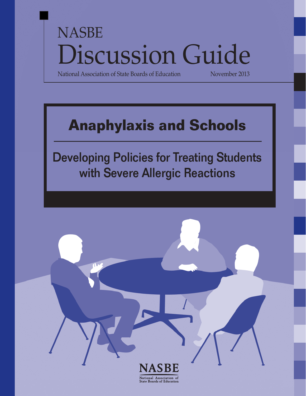# NASBE  $\operatorname{Disc}$ ussion Guide

National Association of State Boards of Education

## **Anaphylaxis and Schools**

Developing Policies for Treating Students with Severe Allergic Reactions

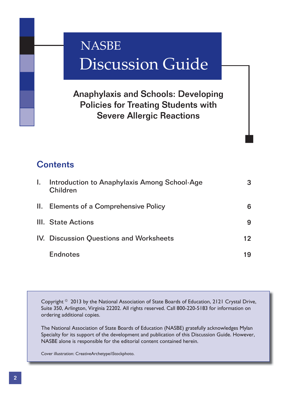## Discussion Guide **NASBE**

Anaphylaxis and Schools: Developing Policies for Treating Students with Severe Allergic Reactions

## **Contents**

| L. | Introduction to Anaphylaxis Among School-Age<br>Children |    |
|----|----------------------------------------------------------|----|
|    | II. Elements of a Comprehensive Policy                   | 6  |
|    | III. State Actions                                       |    |
|    | IV. Discussion Questions and Worksheets                  | 12 |
|    | <b>Endnotes</b>                                          | 19 |

Copyright  $\textdegree$  2013 by the National Association of State Boards of Education, 2121 Crystal Drive, Suite 350, Arlington, Virginia 22202. All rights reserved. Call 800-220-5183 for information on ordering additional copies.

The National Association of State Boards of Education (NASBE) gratefully acknowledges Mylan Specialty for its support of the development and publication of this Discussion Guide. However, NASBE alone is responsible for the editorial content contained herein.

Cover illustration: CreativeArchetype/iStockphoto.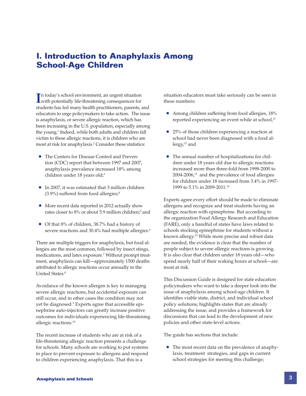## **I. Introduction to Anaphylaxis Among School-Age Children**

In today's school environment, an urgent situation<br>
with potentially life-threatening consequences for n today's school environment, an urgent situation students has led many health practitioners, parents, and educators to urge policymakers to take action. The issue is anaphylaxis, or severe allergic reaction, which has been increasing in the U.S. population, especially among the young.1 Indeed, while both adults and children fall victim to these allergic reactions, it is children who are most at risk for anaphylaxis.<sup>2</sup> Consider these statistics:

- The Centers for Disease Control and Prevention (CDC) report that between 1997 and 2007, anaphylaxis prevalence increased 18% among children under 18 years old;<sup>3</sup>
- In 2007, it was estimated that 3 million children (3.9%) suffered from food allergies;4
- More recent data reported in 2012 actually show rates closer to 8% or about 5.9 million children;5 and
- Of that 8% of children, 38.7% had a history of severe reactions and 30.4% had multiple allergies.<sup>6</sup>

There are multiple triggers for anaphylaxis, but food allergies are the most common, followed by insect stings, medications, and latex exposure.7 Without prompt treatment, anaphylaxis can kill—approximately 1500 deaths attributed to allergic reactions occur annually in the United States.8

Avoidance of the known allergen is key to managing severe allergic reactions, but accidental exposure can still occur, and in other cases the condition may not yet be diagnosed.9 Experts agree that accessible epinephrine auto-injectors can greatly increase positive outcomes for individuals experiencing life-threatening allergic reactions.10

The recent increase of students who are at risk of a life-threatening allergic reaction presents a challenge for schools. Many schools are working to put systems in place to prevent exposure to allergens and respond to children experiencing anaphylaxis. That this is a

situation educators must take seriously can be seen in these numbers:

- Among children suffering from food allergies, 18% reported experiencing an event while at school, $11$
- 25% of those children experiencing a reaction at school had never been diagnosed with a food al $l$ ergy, $12$  and
- The annual number of hospitalizations for children under 18 years old due to allergic reactions increased more than three-fold from 1998-2000 to 2004-2006,13 and the prevalence of food allergies for children under 18 increased from 3.4% in 1997- 1999 to 5.1% in 2009-2011.14

Experts agree every effort should be made to eliminate allergens and recognize and treat students having an allergic reaction with epinephrine. But according to the organization Food Allergy Research and Education (FARE), only a handful of states have laws related to schools stocking epinephrine for students without a known allergy.15 While more precise and robust data are needed, the evidence is clear that the number of people subject to severe allergic reactions is growing. It is also clear that children under 18 years old—who spend nearly half of their waking hours at school—are most at risk.

This Discussion Guide is designed for state education policymakers who want to take a deeper look into the issue of anaphylaxis among school-age children. It identifies viable state, district, and individual school policy solutions; highlights states that are already addressing the issue; and provides a framework for discussions that can lead to the development of new policies and other state-level actions.

The guide has sections that include:

 • The most recent data on the prevalence of anaphylaxis, treatment strategies, and gaps in current school strategies for meeting this challenge;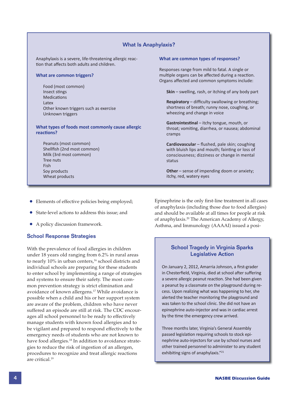#### What Is Anaphylaxis?

Anaphylaxis is a severe, life-threatening allergic reaction that affects both adults and children.

#### **What are common triggers?**

Food (most common) Insect stings **Medications** Latex Other known triggers such as exercise Unknown triggers

**What types of foods most commonly cause allergic reactions?** 

Peanuts (most common) Shellfish (2nd most common) Milk (3rd most common) Tree nuts Fish Soy products Wheat products

#### **What are common types of responses?**

Responses range from mild to fatal. A single or multiple organs can be affected during a reaction. Organs affected and common symptoms include:

 **Skin** – swelling, rash, or itching of any body part

**Respiratory** – difficulty swallowing or breathing; shortness of breath; runny nose, coughing, or wheezing and change in voice

**Gastrointestinal** – itchy tongue, mouth, or throat; vomiting, diarrhea, or nausea; abdominal cramps

**Cardiovascular** – flushed, pale skin; coughing with bluish lips and mouth; fainting or loss of consciousness; dizziness or change in mental status

 **Other** – sense of impending doom or anxiety; itchy, red, watery eyes

- Elements of effective policies being employed;
- State-level actions to address this issue; and
- A policy discussion framework.

#### School Response Strategies

With the prevalence of food allergies in children under 18 years old ranging from 6.2% in rural areas to nearly 10% in urban centers,<sup>16</sup> school districts and individual schools are preparing for these students to enter school by implementing a range of strategies and systems to ensure their safety. The most common prevention strategy is strict elimination and avoidance of known allergens.17 While avoidance is possible when a child and his or her support system are aware of the problem, children who have never suffered an episode are still at risk. The CDC encourages all school personnel to be ready to effectively manage students with known food allergies and to be vigilant and prepared to respond effectively to the emergency needs of students who are not known to have food allergies.<sup>18</sup> In addition to avoidance strategies to reduce the risk of ingestion of an allergen, procedures to recognize and treat allergic reactions are critical.19

Epinephrine is the only first-line treatment in all cases of anaphylaxis (including those due to food allergies) and should be available at all times for people at risk of anaphylaxis.20 The American Academy of Allergy, Asthma, and Immunology (AAAAI) issued a posi-

#### School Tragedy in Virginia Sparks Legislative Action

On January 2, 2012, Amarria Johnson, a first-grader in Chesterfield, Virginia, died at school after suffering a severe allergic peanut reaction. She had been given a peanut by a classmate on the playground during recess. Upon realizing what was happening to her, she alerted the teacher monitoring the playground and was taken to the school clinic. She did not have an epinephrine auto-injector and was in cardiac arrest by the time the emergency crew arrived.

Three months later, Virginia's General Assembly passed legislation requiring schools to stock epinephrine auto-injectors for use by school nurses and other trained personnel to administer to any student exhibiting signs of anaphylaxis."<sup>21</sup>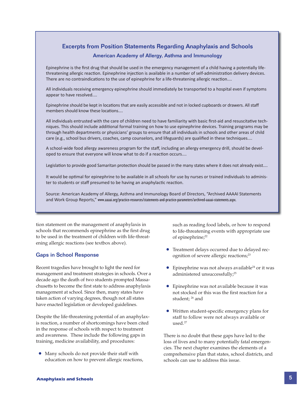#### Excerpts from Position Statements Regarding Anaphylaxis and Schools

#### American Academy of Allergy, Asthma and Immunology

Epinephrine is the first drug that should be used in the emergency management of a child having a potentially lifethreatening allergic reaction. Epinephrine injection is available in a number of self-administration delivery devices. There are no contraindications to the use of epinephrine for a life-threatening allergic reaction....

All individuals receiving emergency epinephrine should immediately be transported to a hospital even if symptoms appear to have resolved....

Epinephrine should be kept in locations that are easily accessible and not in locked cupboards or drawers. All staff members should know these locations....

All individuals entrusted with the care of children need to have familiarity with basic first-aid and resuscitative techniques. This should include additional formal training on how to use epinephrine devices. Training programs may be through health departments or physicians' groups to ensure that all individuals in schools and other areas of child care (e.g., school bus drivers, coaches, camp counselors, and lifeguards) are qualified in these techniques....

A school-wide food allergy awareness program for the staff, including an allergy emergency drill, should be developed to ensure that everyone will know what to do if a reaction occurs....

Legislation to provide good Samaritan protection should be passed in the many states where it does not already exist....

It would be optimal for epinephrine to be available in all schools for use by nurses or trained individuals to administer to students or staff presumed to be having an anaphylactic reaction.

Source: American Academy of Allergy, Asthma and Immunology Board of Directors, "Archived AAAAI Statements and Work Group Reports," www.aaaai.org/practice-resources/statements-and-practice-parameters/archived-aaaai-statements.aspx.

tion statement on the management of anaphylaxis in schools that recommends epinephrine as the first drug to be used in the treatment of children with life-threatening allergic reactions (see textbox above).

#### Gaps in School Response

Recent tragedies have brought to light the need for management and treatment strategies in schools. Over a decade ago the death of two students prompted Massachusetts to become the first state to address anaphylaxis management at school. Since then, many states have taken action of varying degrees, though not all states have enacted legislation or developed guidelines.

Despite the life-threatening potential of an anaphylaxis reaction, a number of shortcomings have been cited in the response of schools with respect to treatment and awareness. These include the following gaps in training, medicine availability, and procedures:

 • Many schools do not provide their staff with education on how to prevent allergic reactions, such as reading food labels, or how to respond to life-threatening events with appropriate use of epinephrine;<sup>22</sup>

- Treatment delays occurred due to delayed recognition of severe allergic reactions;<sup>23</sup>
- Epinephrine was not always available<sup>24</sup> or it was administered unsuccessfully;<sup>25</sup>
- Epinephrine was not available because it was not stocked or this was the first reaction for a student; 26 and
- Written student-specific emergency plans for staff to follow were not always available or used.27

There is no doubt that these gaps have led to the loss of lives and to many potentially fatal emergencies. The next chapter examines the elements of a comprehensive plan that states, school districts, and schools can use to address this issue.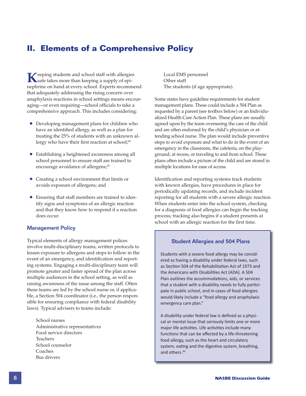## **II. Elements of a Comprehensive Policy**

**K**eeping students and school staff with allergies safe takes more than keeping a supply of epinephrine on hand at every school. Experts recommend that adequately addressing the rising concern over anaphylaxis reactions in school settings means encouraging—or even requiring—school officials to take a comprehensive approach. This includes considering:

- Developing management plans for children who have an identified allergy, as well as a plan for treating the 25% of students with an unknown allergy who have their first reaction at school; $28$
- Establishing a heightened awareness among all school personnel to ensure staff are trained to encourage avoidance of allergens;<sup>29</sup>
- Creating a school environment that limits or avoids exposure of allergens; and
- Ensuring that staff members are trained to identify signs and symptoms of an allergic reaction and that they know how to respond if a reaction does occur.

#### Management Policy

Typical elements of allergy management polices involve multi-disciplinary teams, written protocols to lessen exposure to allergens and steps to follow in the event of an emergency, and identification and reporting systems. Engaging a multi-disciplinary team will promote greater and faster spread of the plan across multiple audiences in the school setting, as well as raising awareness of the issue among the staff. Often these teams are led by the school nurse or, if applicable, a Section 504 coordinator (i.e., the person responsible for ensuring compliance with federal disability laws). Typical advisers to teams include:

School nurses Administrative representatives Food service directors Teachers School counselor Coaches Bus drivers

Local EMS personnel Other staff The students (if age appropriate).

Some states have guideline requirements for student management plans. These could include a 504 Plan as requested by a parent (see textbox below) or an Individualized Health Care Action Plan. These plans are usually agreed upon by the team overseeing the care of the child and are often endorsed by the child's physician or attending school nurse. The plan would include preventive steps to avoid exposure and what to do in the event of an emergency in the classroom, the cafeteria, on the playground, at recess, or traveling to and from school. These plans often include a picture of the child and are stored in multiple locations for ease of access.

Identification and reporting systems track students with known allergies, have procedures in place for periodically updating records, and include incident reporting for all students with a severe allergic reaction. When students enter into the school system, checking for a diagnosis of food allergies can begin the tracking process; tracking also begins if a student presents at school with an allergic reaction for the first time.

#### Student Allergies and 504 Plans

Students with a severe food allergy may be considered as having a disability under federal laws, such as Section 504 of the Rehabilitation Act of 1973 and the Americans with Disabilities Act (ADA). A 504 Plan outlines the accommodations, aids, or services that a student with a disability needs to fully participate in public school, and in cases of food allergies would likely include a "food allergy and anaphylaxis emergency care plan."

A disability under federal law is defined as a physical or mental issue that seriously limits one or more major life activities. Life activities include many functions that can be affected by a life-threatening food allergy, such as the heart and circulatory system, eating and the digestive system, breathing, and others.<sup>30</sup>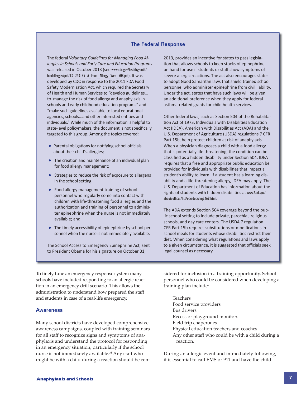#### The Federal Response

The federal *Voluntary Guidelines for Managing Food Allergies in Schools and Early Care and Education Programs* was released in October 2013 (see www.cdc.gov/healthyyouth/ foodallergies/pdf/13\_243135\_A\_Food\_Allergy\_Web\_508.pdf). It was developed by CDC in response to the 2011 FDA Food Safety Modernization Act, which required the Secretary of Health and Human Services to "develop guidelines… to manage the risk of food allergy and anaphylaxis in schools and early childhood education programs" and "make such guidelines available to local educational agencies, schools...and other interested entities and individuals." While much of the information is helpful to state-level policymakers, the document is not specifically targeted to this group. Among the topics covered:

- Parental obligations for notifying school officials about their child's allergies;
- The creation and maintenance of an individual plan for food allergy management;
- Strategies to reduce the risk of exposure to allergens in the school setting;
- Food allergy management training of school personnel who regularly come into contact with children with life-threatening food allergies and the authorization and training of personnel to administer epinephrine when the nurse is not immediately available; and
- The timely accessibility of epinephrine by school personnel when the nurse is not immediately available.

The School Access to Emergency Epinephrine Act, sent to President Obama for his signature on October 31,

2013, provides an incentive for states to pass legislation that allows schools to keep stocks of epinephrine on hand for use if students or staff show symptoms of severe allergic reactions. The act also encourages states to adopt Good Samaritan laws that shield trained school personnel who administer epinephrine from civil liability. Under the act, states that have such laws will be given an additional preference when they apply for federal asthma-related grants for child health services.

Other federal laws, such as Section 504 of the Rehabilitation Act of 1973, Individuals with Disabilities Education Act (IDEA), American with Disabilities Act (ADA) and the U.S. Department of Agriculture (USDA) regulations 7 CFR Part 15b, help protect children at risk of anaphylaxis. When a physician diagnoses a child with a food allergy that is potentially life threatening, the condition can be classified as a hidden disability under Section 504. IDEA requires that a free and appropriate public education be provided for individuals with disabilities that impact a student's ability to learn. If a student has a learning disability and a life-threatening allergy, IDEA may apply. The U.S. Department of Education has information about the rights of students with hidden disabilities at www2.ed.gov/ about/offices/list/ocr/docs/hq5269.html.

The ADA extends Section 504 coverage beyond the public school setting to include private, parochial, religious schools, and day care centers. The USDA 7 regulation CFR Part 15b requires substitutions or modifications in school meals for students whose disabilities restrict their diet. When considering what regulations and laws apply to a given circumstance, it is suggested that officials seek legal counsel as necessary.

To finely tune an emergency response system many schools have included responding to an allergic reaction in an emergency drill scenario. This allows the administration to understand how prepared the staff and students in case of a real-life emergency.

#### **Awareness**

Many school districts have developed comprehensive awareness campaigns, coupled with training seminars for all staff to recognize signs and symptoms of anaphylaxis and understand the protocol for responding in an emergency situation, particularly if the school nurse is not immediately available.<sup>31</sup> Any staff who might be with a child during a reaction should be considered for inclusion in a training opportunity. School personnel who could be considered when developing a training plan include:

Teachers Food service providers Bus drivers Recess or playground monitors Field trip chaperones Physical education teachers and coaches Any other staff who could be with a child during a reaction.

During an allergic event and immediately following, it is essential to call EMS or 911 and have the child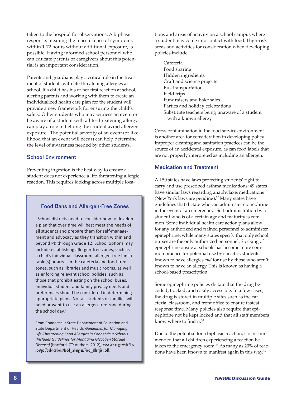taken to the hospital for observations. A biphasic response, meaning the reoccurrence of symptoms within 1-72 hours without additional exposure, is possible. Having informed school personnel who can educate parents or caregivers about this potential is an important consideration.

Parents and guardians play a critical role in the treatment of students with life-threatening allergies at school. If a child has his or her first reaction at school, alerting parents and working with them to create an individualized health care plan for the student will provide a new framework for ensuring the child's safety. Other students who may witness an event or be aware of a student with a life-threatening allergy can play a role in helping the student avoid allergen exposure. The potential severity of an event (or likelihood that an event will occur) can help determine the level of awareness needed by other students.

#### School Environment

Preventing ingestion is the best way to ensure a student does not experience a life-threatening allergic reaction. This requires looking across multiple loca-

#### Food Bans and Allergen-Free Zones

"School districts need to consider how to develop a plan that over time will best meet the needs of all students and prepare them for self-management and advocacy as they transition within and beyond PK through Grade 12. School options may include establishing allergen-free zones, such as a child's individual classroom, allergen-free lunch table(s) or areas in the cafeteria and food-free zones, such as libraries and music rooms, as well as enforcing relevant school policies, such as those that prohibit eating on the school buses. Individual student and family privacy needs and preferences should be considered in determining appropriate plans. Not all students or families will need or want to use an allergen-free zone during the school day."

From Connecticut State Department of Education and State Department of Health, *Guidelines for Managing*  **Life-Threatening Food Allergies in Connecticut Schools** *(Includes Guidelines for Managing Glycogen Storage*  Disease) (Hartford, CT: Authors, 2012), www.sde.ct.gov/sde/lib/ sde/pdf/publications/food\_allergies/food\_allergies.pdf.

tions and areas of activity on a school campus where a student may come into contact with food. High-risk areas and activities for consideration when developing policies include:

Cafeteria Food sharing Hidden ingredients Craft and science projects Bus transportation Field trips Fundraisers and bake sales Parties and holiday celebrations Substitute teachers being unaware of a student with a known allergy

Cross-contamination in the food service environment is another area for consideration in developing policy. Improper cleaning and sanitation practices can be the source of an accidental exposure, as can food labels that are not properly interpreted as including an allergen.

#### Medication and Treatment

All 50 states have laws protecting students' right to carry and use prescribed asthma medications; 49 states have similar laws regarding anaphylaxis medications (New York laws are pending).<sup>32</sup> Many states have guidelines that dictate who can administer epinephrine in the event of an emergency. Self-administration by a student who is of a certain age and maturity is common. Some individual health care action plans allow for any authorized and trained personnel to administer epinephrine, while many states specify that only school nurses are the only authorized personnel. Stocking of epinephrine onsite at schools has become more common practice for potential use by specifics students known to have allergies *and* for use by those who aren't known to have an allergy. This is known as having a school-based prescription.

Some epinephrine policies dictate that the drug be coded, tracked, and easily accessible. In a few cases, the drug is stored in multiple sites such as the cafeteria, classroom, and front office to ensure fastest response time. Many policies also require that epinephrine not be kept locked and that all staff members know where to find it.<sup>33</sup>

Due to the potential for a biphasic reaction, it is recommended that all children experiencing a reaction be taken to the emergency room.<sup>34</sup> As many as 20% of reactions have been known to manifest again in this way.<sup>35</sup>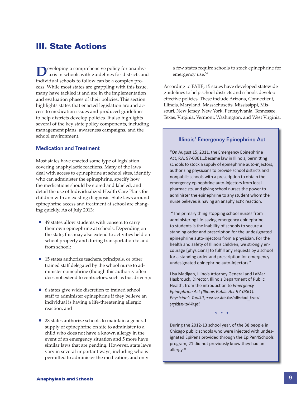## **III. State Actions**

**D**eveloping a comprehensive policy for anaphy-<br>laxis in schools with guidelines for districts and individual schools to follow can be a complex process. While most states are grappling with this issue, many have tackled it and are in the implementation and evaluation phases of their policies. This section highlights states that enacted legislation around access to medication issues and produced guidelines to help districts develop policies. It also highlights several of the key state policy components, including management plans, awareness campaigns, and the school environment.

#### Medication and Treatment

Most states have enacted some type of legislation covering anaphylactic reactions. Many of the laws deal with access to epinephrine at school sites, identify who can administer the epinephrine, specify how the medications should be stored and labeled, and detail the use of Individualized Health Care Plans for children with an existing diagnosis. State laws around epinephrine access and treatment at school are changing quickly. As of July 2013:

- 49 states allow students with consent to carry their own epinephrine at schools. Depending on the state, this may also extend to activities held on school property and during transportation to and from school;
- 15 states authorize teachers, principals, or other trained staff delegated by the school nurse to administer epinephrine (though this authority often does not extend to contractors, such as bus drivers);
- 6 states give wide discretion to trained school staff to administer epinephrine if they believe an individual is having a life-threatening allergic reaction; and
- 28 states authorize schools to maintain a general supply of epinephrine on site to administer to a child who does not have a known allergy in the event of an emergency situation and 5 more have similar laws that are pending. However, state laws vary in several important ways, including who is permitted to administer the medication, and only

a few states require schools to stock epinephrine for emergency use.<sup>36</sup>

According to FARE, 15 states have developed statewide guidelines to help school districts and schools develop effective policies. These include Arizona, Connecticut, Illinois, Maryland, Massachusetts, Mississippi, Missouri, New Jersey, New York, Pennsylvania, Tennessee, Texas, Virginia, Vermont, Washington, and West Virginia.

#### Illinois' Emergency Epinephrine Act

"On August 15, 2011, the Emergency Epinephrine Act, P.A. 97-0361...became law in Illinois, permitting schools to stock a supply of epinephrine auto-injectors, authorizing physicians to provide school districts and nonpublic schools with a prescription to obtain the emergency epinephrine auto-injectors from local pharmacists, and giving school nurses the power to administer the epinephrine to any student whom the nurse believes is having an anaphylactic reaction.

 "The primary thing stopping school nurses from administering life-saving emergency epinephrine to students is the inability of schools to secure a standing order and prescription for the undesignated epinephrine auto-injectors from a physician. For the health and safety of Illinois children, we strongly encourage [physicians] to fulfill any requests by a school for a standing order and prescription for emergency undesignated epinephrine auto-injectors."

Lisa Madigan, Illinois Attorney General and LaMar Hasbrouck, Director, Illinois Department of Public Health, from the introduction to *Emergency Epinephrine Act (Illinois Public Act 97-0361): Physician's Toolkit,* www.isbe.state.il.us/pdf/school\_health/ physicians-tool-kit.pdf.

**\* \* \***

During the 2012-13 school year, of the 38 people in Chicago public schools who were injected with undesignated EpiPens provided through the EpiPen4Schools program, 21 did not previously know they had an allergy.38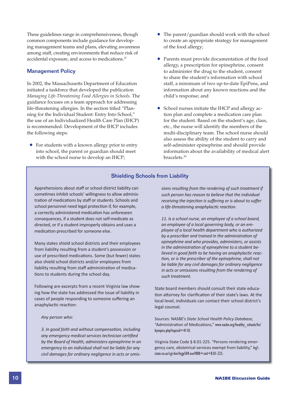These guidelines range in comprehensiveness, though common components include guidance for developing management teams and plans, elevating awareness among staff, creating environments that reduce risk of accidental exposure, and access to medications.37

#### Management Policy

In 2002, the Massachusetts Department of Education initiated a taskforce that developed the publication *Managing Life-Threatening Food Allergies in Schools.* The guidance focuses on a team approach for addressing life-threatening allergies. In the section titled "Planning for the Individual Student: Entry Into School," the use of an Individualized Health Care Plan (IHCP) is recommended. Development of the IHCP includes the following steps:

 • For students with a known allergy prior to entry into school, the parent or guardian should meet with the school nurse to develop an IHCP;

- The parent/guardian should work with the school to create an appropriate strategy for management of the food allergy;
- Parents must provide documentation of the food allergy, a prescription for epinephrine, consent to administer the drug to the student, consent to share the student's information with school staff, a minimum of two up-to-date EpiPens, and information about any known reactions and the child's response; and
- School nurses initiate the IHCP and allergy action plan and complete a medication care plan for the student. Based on the student's age, class, etc., the nurse will identify the members of the multi-disciplinary team. The school nurse should also assess the ability of the student to carry and self-administer epinephrine and should provide information about the availability of medical alert bracelets.39

#### Shielding Schools from Liability

Apprehensions about staff or school district liability can sometimes inhibit schools' willingness to allow administration of medications by staff or students. Schools and school personnel need legal protection if, for example, a correctly administered medication has unforeseen consequences, if a student does not self-medicate as directed, or if a student improperly obtains and uses a medication prescribed for someone else.

Many states shield school districts and their employees from liability resulting from a student's possession or use of prescribed medications. Some (but fewer) states also shield school districts and/or employees from liability resulting from staff administration of medications to students during the school day.

Following are excerpts from a recent Virginia law showing how the state has addressed the issue of liability in cases of people responding to someone suffering an anaphylactic reaction:

*Any person who:* 

*3. In good faith and without compensaƟ on, including any emergency medical services technician cerƟfi ed by the Board of Health, administers epinephrine in an emergency to an individual shall not be liable for any civil damages for ordinary negligence in acts or omis-* *sions resulƟ ng from the rendering of such treatment if such person has reason to believe that the individual receiving the injection is suffering or is about to suffer a life-threatening anaphylacƟ c reacƟ on.*

*11. Is a school nurse, an employee of a school board, an employee of a local governing body, or an employee of a local health department who is authorized by a prescriber and trained in the administration of epinephrine and who provides, administers, or assists*  in the administration of epinephrine to a student believed in good faith to be having an anaphylactic reac-*Ɵ on, or is the prescriber of the epinephrine, shall not be liable for any civil damages for ordinary negligence in acts or omissions resulting from the rendering of such treatment.*

State board members should consult their state education attorney for clarification of their state's laws. At the local level, individuals can contact their school district's legal counsel.

Sources: NASBE's *State School Health Policy Database,* "Administration of Medications," www.nasbe.org/healthy schools/hs/ bytopics.php?topicid=4110.

Virginia State Code § 8.01-225. "Persons rendering emergency care, obstetrical services exempt from liability," legl. state.va.us/cgi-bin/legp504.exe?000+cod+8.01-225.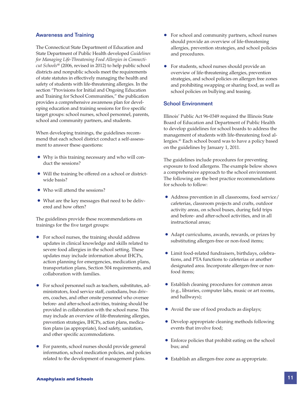#### Awareness and Training

The Connecticut State Department of Education and State Department of Public Health developed *Guidelines for Managing Life-Threatening Food Allergies in Connecticut Schools*40 (2006, revised in 2012) to help public school districts and nonpublic schools meet the requirements of state statutes in effectively managing the health and safety of students with life-threatening allergies. In the section "Provisions for Initial and Ongoing Education and Training for School Communities," the publication provides a comprehensive awareness plan for developing education and training sessions for five specific target groups: school nurses, school personnel, parents, school and community partners, and students.

When developing trainings, the guidelines recommend that each school district conduct a self-assessment to answer these questions:

- Why is this training necessary and who will conduct the sessions?
- Will the training be offered on a school or districtwide basis?
- Who will attend the sessions?
- What are the key messages that need to be delivered and how often?

The guidelines provide these recommendations on trainings for the five target groups:

- For school nurses, the training should address updates in clinical knowledge and skills related to severe food allergies in the school setting. These updates may include information about IHCPs, action planning for emergencies, medication plans, transportation plans, Section 504 requirements, and collaboration with families.
- For school personnel such as teachers, substitutes, administrators, food service staff, custodians, bus drivers, coaches, and other onsite personnel who oversee before- and after-school activities, training should be provided in collaboration with the school nurse. This may include an overview of life-threatening allergies, prevention strategies, IHCPs, action plans, medication plans (as appropriate), food safety, sanitation, and other specific accommodations.
- For parents, school nurses should provide general information, school medication policies, and policies related to the development of management plans.
- For school and community partners, school nurses should provide an overview of life-threatening allergies, prevention strategies, and school policies and procedures.
- For students, school nurses should provide an overview of life-threatening allergies, prevention strategies, and school policies on allergen free zones and prohibiting swapping or sharing food, as well as school policies on bullying and teasing.

#### School Environment

Illinois' Public Act 96-0349 required the Illinois State Board of Education and Department of Public Health to develop guidelines for school boards to address the management of students with life-threatening food allergies.41 Each school board was to have a policy based on the guidelines by January 1, 2011.

The guidelines include procedures for preventing exposure to food allergens. The example below shows a comprehensive approach to the school environment. The following are the best practice recommendations for schools to follow:

- Address prevention in all classrooms, food service/ cafeterias, classroom projects and crafts, outdoor activity areas, on school buses, during field trips and before- and after-school activities, and in all instructional areas;
- Adapt curriculums, awards, rewards, or prizes by substituting allergen-free or non-food items;
- Limit food-related fundraisers, birthdays, celebrations, and PTA functions to cafeterias or another designated area. Incorporate allergen-free or nonfood items;
- Establish cleaning procedures for common areas (e.g., libraries, computer labs, music or art rooms, and hallways);
- Avoid the use of food products as displays;
- Develop appropriate cleaning methods following events that involve food;
- Enforce policies that prohibit eating on the school bus; and
- Establish an allergen-free zone as appropriate.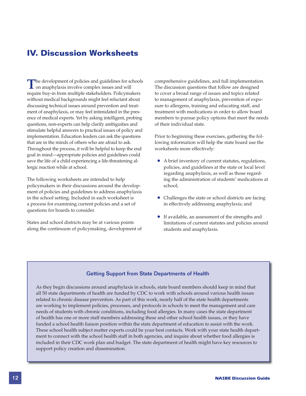## **IV. Discussion Worksheets**

The development of policies and guidelines for schools<br>
on anaphylaxis involve complex issues and will require buy-in from multiple stakeholders. Policymakers without medical backgrounds might feel reluctant about discussing technical issues around prevention and treatment of anaphylaxis, or may feel intimidated in the presence of medical experts. Yet by asking intelligent, probing questions, non-experts can help clarify ambiguities and stimulate helpful answers to practical issues of policy and implementation. Education leaders can ask the questions that are in the minds of others who are afraid to ask. Throughout the process, it will be helpful to keep the end goal in mind—appropriate policies and guidelines could save the life of a child experiencing a life-threatening allergic reaction while at school.

The following worksheets are intended to help policymakers in their discussions around the development of policies and guidelines to address anaphylaxis in the school setting. Included in each worksheet is a process for examining current policies and a set of questions for boards to consider.

States and school districts may be at various points along the continuum of policymaking, development of comprehensive guidelines, and full implementation. The discussion questions that follow are designed to cover a broad range of issues and topics related to management of anaphylaxis, prevention of exposure to allergens, training and educating staff, and treatment with medications in order to allow board members to pursue policy options that meet the needs of their individual state.

Prior to beginning these exercises, gathering the following information will help the state board use the worksheets more effectively:

- A brief inventory of current statutes, regulations, policies, and guidelines at the state or local level regarding anaphylaxis, as well as those regarding the administration of students' medications at school;
- Challenges the state or school districts are facing in effectively addressing anaphylaxis; and
- If available, an assessment of the strengths and limitations of current statutes and policies around students and anaphylaxis.

#### Getting Support from State Departments of Health

As they begin discussions around anaphylaxis in schools, state board members should keep in mind that all 50 state departments of health are funded by CDC to work with schools around various health issues related to chronic disease prevention. As part of this work, nearly half of the state health departments are working to implement policies, processes, and protocols in schools to meet the management and care needs of students with chronic conditions, including food allergies. In many cases the state department of health has one or more staff members addressing these and other school health issues, or they have funded a school health liaison position within the state department of education to assist with the work. These school health subject matter experts could be your best contacts. Work with your state health department to connect with the school health staff in both agencies, and inquire about whether food allergies is included in their CDC work plan and budget. The state department of health might have key resources to support policy creation and dissemination.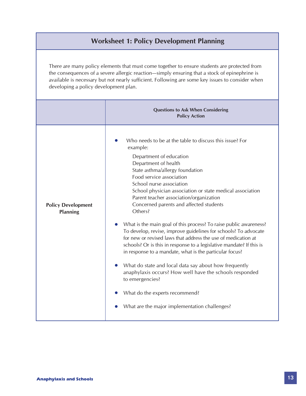### **Worksheet 1: Policy Development Planning**

There are many policy elements that must come together to ensure students are protected from the consequences of a severe allergic reaction—simply ensuring that a stock of epinephrine is available is necessary but not nearly sufficient. Following are some key issues to consider when developing a policy development plan.

|                                              | <b>Questions to Ask When Considering</b><br><b>Policy Action</b>                                                                                                                                                                                                                                                                                                                                                                                                                                                                                                                                                                                                                                                                                                                                                                                                                                                                                      |
|----------------------------------------------|-------------------------------------------------------------------------------------------------------------------------------------------------------------------------------------------------------------------------------------------------------------------------------------------------------------------------------------------------------------------------------------------------------------------------------------------------------------------------------------------------------------------------------------------------------------------------------------------------------------------------------------------------------------------------------------------------------------------------------------------------------------------------------------------------------------------------------------------------------------------------------------------------------------------------------------------------------|
| <b>Policy Development</b><br><b>Planning</b> | Who needs to be at the table to discuss this issue? For<br>example:<br>Department of education<br>Department of health<br>State asthma/allergy foundation<br>Food service association<br>School nurse association<br>School physician association or state medical association<br>Parent teacher association/organization<br>Concerned parents and affected students<br>Others?<br>What is the main goal of this process? To raise public awareness?<br>To develop, revise, improve guidelines for schools? To advocate<br>for new or revised laws that address the use of medication at<br>schools? Or is this in response to a legislative mandate? If this is<br>in response to a mandate, what is the particular focus?<br>What do state and local data say about how frequently<br>anaphylaxis occurs? How well have the schools responded<br>to emergencies?<br>What do the experts recommend?<br>What are the major implementation challenges? |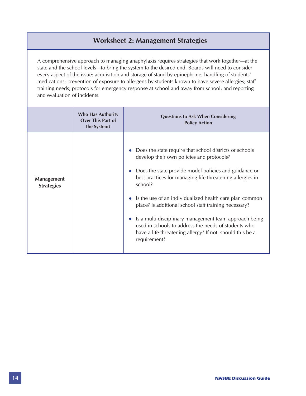## **Worksheet 2: Management Strategies**

A comprehensive approach to managing anaphylaxis requires strategies that work together—at the state and the school levels—to bring the system to the desired end. Boards will need to consider every aspect of the issue: acquisition and storage of stand-by epinephrine; handling of students' medications; prevention of exposure to allergens by students known to have severe allergies; staff training needs; protocols for emergency response at school and away from school; and reporting and evaluation of incidents.

|                                        | <b>Who Has Authority</b><br><b>Over This Part of</b><br>the System? | <b>Questions to Ask When Considering</b><br><b>Policy Action</b>                                                                                                                                                                                                                                                                                                                                                                                                                                                                                         |
|----------------------------------------|---------------------------------------------------------------------|----------------------------------------------------------------------------------------------------------------------------------------------------------------------------------------------------------------------------------------------------------------------------------------------------------------------------------------------------------------------------------------------------------------------------------------------------------------------------------------------------------------------------------------------------------|
| <b>Management</b><br><b>Strategies</b> |                                                                     | Does the state require that school districts or schools<br>develop their own policies and protocols?<br>Does the state provide model policies and guidance on<br>best practices for managing life-threatening allergies in<br>school?<br>Is the use of an individualized health care plan common<br>place? Is additional school staff training necessary?<br>Is a multi-disciplinary management team approach being<br>used in schools to address the needs of students who<br>have a life-threatening allergy? If not, should this be a<br>requirement? |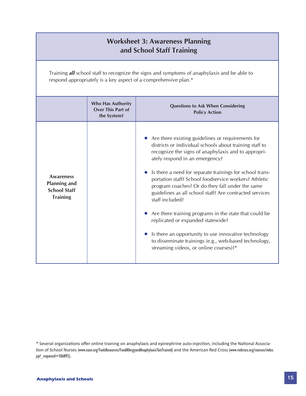| <b>Worksheet 3: Awareness Planning</b><br>and School Staff Training                                                                                            |                                                                     |                                                                                                                                                                                                                                                                                                                                                                                                                                                                                                                                                                                                                                                                                                                       |  |
|----------------------------------------------------------------------------------------------------------------------------------------------------------------|---------------------------------------------------------------------|-----------------------------------------------------------------------------------------------------------------------------------------------------------------------------------------------------------------------------------------------------------------------------------------------------------------------------------------------------------------------------------------------------------------------------------------------------------------------------------------------------------------------------------------------------------------------------------------------------------------------------------------------------------------------------------------------------------------------|--|
| Training all school staff to recognize the signs and symptoms of anaphylaxis and be able to<br>respond appropriately is a key aspect of a comprehensive plan.* |                                                                     |                                                                                                                                                                                                                                                                                                                                                                                                                                                                                                                                                                                                                                                                                                                       |  |
|                                                                                                                                                                | <b>Who Has Authority</b><br><b>Over This Part of</b><br>the System? | <b>Questions to Ask When Considering</b><br><b>Policy Action</b>                                                                                                                                                                                                                                                                                                                                                                                                                                                                                                                                                                                                                                                      |  |
| <b>Awareness</b><br><b>Planning and</b><br><b>School Staff</b><br><b>Training</b>                                                                              |                                                                     | Are there existing guidelines or requirements for<br>districts or individual schools about training staff to<br>recognize the signs of anaphylaxis and to appropri-<br>ately respond in an emergency?<br>Is there a need for separate trainings for school trans-<br>portation staff? School foodservice workers? Athletic<br>program coaches? Or do they fall under the same<br>guidelines as all school staff? Are contracted services<br>staff included?<br>Are there training programs in the state that could be<br>replicated or expanded statewide?<br>Is there an opportunity to use innovative technology<br>to disseminate trainings (e.g., web-based technology,<br>streaming videos, or online courses)?* |  |

<sup>\*</sup> Several organizations offer online training on anaphylaxis and epinephrine auto-injection, including the National Association of School Nurses (www.nasn.org/ToolsResources/FoodAllergyandAnaphylaxis/GetTrained) and the American Red Cross (www.redcross.org/courses/index. jsp?\_requestid=506892).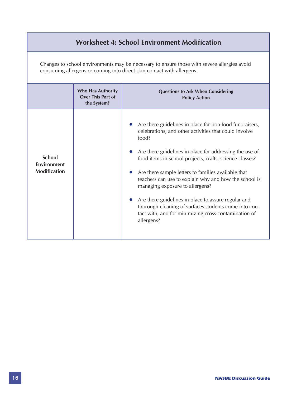## **Worksheet 4: School Environment Modification**

Changes to school environments may be necessary to ensure those with severe allergies avoid consuming allergens or coming into direct skin contact with allergens.

|                                                            | <b>Who Has Authority</b><br>Over This Part of<br>the System? | <b>Questions to Ask When Considering</b><br><b>Policy Action</b>                                                                                                                                                                                                                                                                                                                                                                                                                                                                                                                         |
|------------------------------------------------------------|--------------------------------------------------------------|------------------------------------------------------------------------------------------------------------------------------------------------------------------------------------------------------------------------------------------------------------------------------------------------------------------------------------------------------------------------------------------------------------------------------------------------------------------------------------------------------------------------------------------------------------------------------------------|
| <b>School</b><br><b>Environment</b><br><b>Modification</b> |                                                              | Are there guidelines in place for non-food fundraisers,<br>celebrations, and other activities that could involve<br>food?<br>Are there guidelines in place for addressing the use of<br>food items in school projects, crafts, science classes?<br>Are there sample letters to families available that<br>teachers can use to explain why and how the school is<br>managing exposure to allergens?<br>Are there guidelines in place to assure regular and<br>thorough cleaning of surfaces students come into con-<br>tact with, and for minimizing cross-contamination of<br>allergens? |

•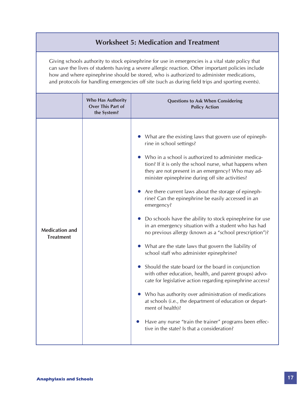## **Worksheet 5: Medication and Treatment**

Giving schools authority to stock epinephrine for use in emergencies is a vital state policy that can save the lives of students having a severe allergic reaction. Other important policies include how and where epinephrine should be stored, who is authorized to administer medications, and protocols for handling emergencies off site (such as during field trips and sporting events).

|                                           | <b>Who Has Authority</b><br><b>Over This Part of</b><br>the System? | <b>Questions to Ask When Considering</b><br><b>Policy Action</b>                                                                                                                                                                                                                                                                                                                                                                                                                                                                                                                                                                                                                                                                                                                                                                                                                                                                                                                                                                                                                                                                                             |
|-------------------------------------------|---------------------------------------------------------------------|--------------------------------------------------------------------------------------------------------------------------------------------------------------------------------------------------------------------------------------------------------------------------------------------------------------------------------------------------------------------------------------------------------------------------------------------------------------------------------------------------------------------------------------------------------------------------------------------------------------------------------------------------------------------------------------------------------------------------------------------------------------------------------------------------------------------------------------------------------------------------------------------------------------------------------------------------------------------------------------------------------------------------------------------------------------------------------------------------------------------------------------------------------------|
| <b>Medication and</b><br><b>Treatment</b> |                                                                     | What are the existing laws that govern use of epineph-<br>rine in school settings?<br>Who in a school is authorized to administer medica-<br>tion? If it is only the school nurse, what happens when<br>they are not present in an emergency? Who may ad-<br>minister epinephrine during off site activities?<br>Are there current laws about the storage of epineph-<br>rine? Can the epinephrine be easily accessed in an<br>emergency?<br>Do schools have the ability to stock epinephrine for use<br>in an emergency situation with a student who has had<br>no previous allergy (known as a "school prescription")?<br>What are the state laws that govern the liability of<br>school staff who administer epinephrine?<br>Should the state board (or the board in conjunction<br>with other education, health, and parent groups) advo-<br>cate for legislative action regarding epinephrine access?<br>Who has authority over administration of medications<br>at schools (i.e., the department of education or depart-<br>ment of health)?<br>Have any nurse "train the trainer" programs been effec-<br>tive in the state? Is that a consideration? |

•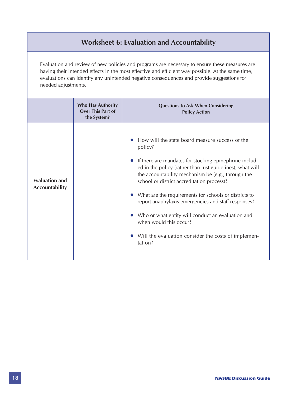## **Worksheet 6: Evaluation and Accountability**

Evaluation and review of new policies and programs are necessary to ensure these measures are having their intended effects in the most effective and efficient way possible. At the same time, evaluations can identify any unintended negative consequences and provide suggestions for needed adjustments.

|                                                | <b>Who Has Authority</b><br>Over This Part of<br>the System? | <b>Questions to Ask When Considering</b><br><b>Policy Action</b>                                                                                                                                                                                                                                                                                                                                                                                                                                                                                       |
|------------------------------------------------|--------------------------------------------------------------|--------------------------------------------------------------------------------------------------------------------------------------------------------------------------------------------------------------------------------------------------------------------------------------------------------------------------------------------------------------------------------------------------------------------------------------------------------------------------------------------------------------------------------------------------------|
| <b>Evaluation and</b><br><b>Accountability</b> |                                                              | How will the state board measure success of the<br>policy?<br>If there are mandates for stocking epinephrine includ-<br>ed in the policy (rather than just guidelines), what will<br>the accountability mechanism be (e.g., through the<br>school or district accreditation process)?<br>What are the requirements for schools or districts to<br>report anaphylaxis emergencies and staff responses?<br>Who or what entity will conduct an evaluation and<br>when would this occur?<br>Will the evaluation consider the costs of implemen-<br>tation? |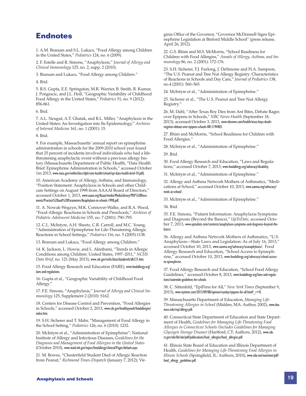### **Endnotes**

1. A.M. Branum and S.L. Lukacs, "Food Allergy among Children in the United States," *Pediatrics* 124, no. 6 (2009).

2. F. Estelle and R. Simons, "Anaphylaxis," *Journal of Allergy and Clinical Immunology* 125, no. 2, supp. 2 (2010).

3. Branum and Lukacs, "Food Allergy among Children."

4. Ibid.

5. R.S. Gupta, E.E. Springston, M.R. Warrier, B. Smith, R. Kumar, J. Pongracic, and J.L. Holl, "Geographic Variability of Childhood Food Allergy in the United States," *Pediatrics* 51, no. 9 (2012): 856-861.

6. Ibid.

7. A.L. Neugut, A.T. Ghatak, and R.L. Miller, "Anaphylaxis in the United States: An Investigation into Its Epidemiology," *Archives of Internal Medicine* 161, no. 1 (2001): 15.

8. Ibid.

9. For example, Massachusetts' annual report on epinephrine administration in schools for the 2009-2010 school year found that 25 percent of incidents involved individuals who had a lifethreatening anaphylactic event without a previous allergy history (Massachusetts Department of Public Health, "Data Health Brief: Epinephrine Administration in Schools," accessed October 1m 2013, www.mass.gov/eohhs/docs/dph/com-health/school/epi-data-health-brief-10.pdf).

10. American Academy of Allergy, Asthma, and Immunology, "Position Statement: Anaphylaxis in Schools and other Childcare Settings on August 1998 from AAAAI Board of Directors," accessed October 1, 2013, www.aaaai.org/Aaaai/media/MediaLibrary/PDF%20Documents/Practice%20and%20Parameters/Anaphylaxis-in-schools-1998.pdf.

11. A. Nowak-Wegzyn, M.K. Connover-Walke, and R.A. Wood, "Food-Allergic Reactions in Schools and Preschools," *Archives of Pediatric Adolescent Medicine* 155, no. 7 (2001): 790–795.

12. C.L. McIntyre, A.H. Sheetz, C.R. Carroll, and M.C. Young, "Administration of Epinephrine for Life-Threatening Allergic Reactions in School Settings," *Pediatrics* 116, no. 5 (2005):1138.

13. Branum and Lukacs, "Food Allergy among Children."

14. K. Jackson, L. Howie, and L. Akinbami, "Trends in Allergic Conditions among Children: United States, 1997–2011," *NCHS Data Brief,* no. 121 (May 2013), www.cdc.gov/nchs/data/databriefs/db121.htm.

15. Food Allergy Research and Education (FARE), www.foodallergy.org/ laws-and-regulations.

16. Gupta et al., "Geographic Variability of Childhood Food Allergy."

17. F.E. Simons, "Anaphylaxis," *Journal of Allergy and Clinical Immunology* 125, Supplement 2 (2010): S162.

18. Centers for Disease Control and Prevention, "Food Allergies in Schools," accessed October 2, 2013, www.cdc.gov/healthyyouth/foodallergies/ index.htm.

19. S.H. Sicherer and T. Mahr, "Management of Food Allergy in the School Setting," *Pediatrics* 126, no. 6 (2010): 1232.

20. McIntyre et al., "Administration of Epinephrine"; National Institute of Allergy and Infectious Diseases, *Guidelines for the Diagnosis and Management of Food Allergies in the United States* (October 2010), www.niaid.nih.gov/topics/foodallergy/clinical/Pages/default.aspx.

21. M. Bowes, "Chesterfield Student Died of Allergic Reaction from Peanut," *Richmond Times-Dispatch* (January 7, 2012); Virginia Office of the Governor, "Governor McDonnell Signs Epinephrine Legislation at Binford Middle School" (press release, April 26, 2012).

22. G.S. Rhim and M.S. McMorris, "School Readiness for Children with Food Allergies," *Annals of Allergy, Asthma, and Immunology* 86, no. 2 (2001): 172-176.

23. S.H. Sicherer, T.J. Furlong, J. DeSimone and H.A. Sampson, "The U.S. Peanut and Tree Nut Allergy Registry: Characteristics of Reactions in Schools and Day Care," *Journal of Pediatrics* 138, no.4 (2001): 560–565.

24. McIntyre et al., "Administration of Epinephrine."

25. Sicherer et al., "The U.S. Peanut and Tree Nut Allergy Registry."

26. M. Dahl, "After Texas Boy Dies from Ant Bites, Debate Rages over Epipens in Schools," *NBC News-Health* (September 18, 2013), accessed October 3, 2013, www.nbcnews.com/health/texas-boys-deathreignites-debate-over-epipens-schools-4B11194403.

27. Rhim and McMorris, "School Readiness for Children with Food Allergies."

28. McIntyre et al., "Administration of Epinephrine."

29. Ibid.

30. Food Allergy Research and Education, "Laws and Regulations," accessed October 7, 2013, www.foodallergy.org/advocacy/disability.

31. McIntyre et al., "Administration of Epinephrine."

32. Allergy and Asthma Network Mothers of Asthmatics, "Medications at School," accessed October 10, 2013, www.aanma.org/advocacy/ meds-at-school/.

33. McIntyre et al., "Administration of Epinephrine."

34. Ibid.

35. F.E. Simons, "Patient Information: Anaphylaxis Symptoms and Diagnosis (Beyond the Basics)," *UpToDate,* accessed October 7, 2013, www.uptodate.com/contents/anaphylaxis-symptoms-and-diagnosis-beyond-thebasics.

36. Allergy and Asthma Network Mothers of Asthmatics, "U.S. Anaphylaxis—State Laws and Legislation: As of July 16, 2013," accessed October 10, 2013, www.aanma.org/advocacy/usanaphylaxis/; Food Allergy Research and Education, "School Access to Epinephrine," accessed October 10, 2013, www.foodallergy.org/advocacy/school-accessto-epinephrine.

37. Food Allergy Research and Education, "School Food Allergy Guidelines," accessed October 8, 2013, www.foodallergy.org/laws-and-regulations/statewide-guidelines-for-schools.

38. C. Sittenfeld, "EpiPens for All," *New York Times* (September 9, 2013), www.nytimes.com/2013/09/08/opinion/sunday/epipens-for-all.html?  $r=0$ .

39. Massachusetts Department of Education, *Managing Life-Threatening Allergies in School* (Malden, MA: Author, 2002), www.doe. mass.edu/cnp/allergy.pdf.

40. Connecticut State Department of Education and State Department of Health, *Guidelines for Managing Life-Threatening Food Allergies in Connecticut Schools (Includes Guidelines for Managing Glycogen Storage Disease)* (Hartford, CT: Authors, 2012), www.sde. ct.gov/sde/lib/sde/pdf/publications/food\_allergies/food\_allergies.pdf.

41. Illinois State Board of Education and Illinois Department of Health, *Guidelines for Managing Life-Threatening Food Allergies in Illinois Schools* (Springfield, IL: Authors, 2010), www.isbe.net/nutrition/pdf/ food allergy guidelines.pdf.